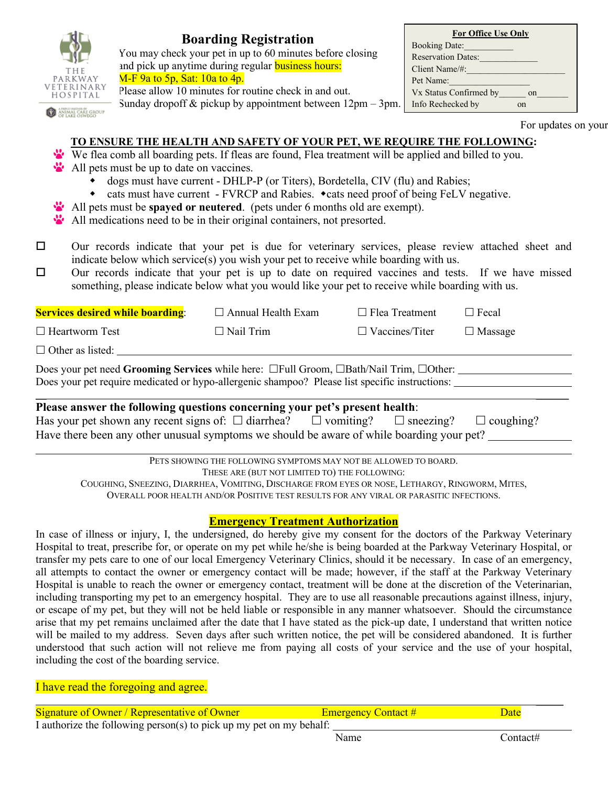| <b>ARKWAY</b><br>HOSPITAL<br>ANIMAL CARE GROU | $M-F$ 9a to 5p, Sat: 10a to 4p.          | <b>Boarding Registration</b><br>You may check your pet in up to 60 minutes before closing<br>and pick up anytime during regular <b>business hours:</b><br>Please allow 10 minutes for routine check in and out.<br>Sunday dropoff $\&$ pickup by appointment between $12 \text{pm} - 3 \text{pm}$ .                                                                                                                                                                                                                          |                       | <b>Booking Date:</b><br>Pet Name:<br>Info Rechecked by | For Office Use Only<br>Reservation Dates:<br>Client Name/#:<br>Vx Status Confirmed by on | on                  |  |
|-----------------------------------------------|------------------------------------------|------------------------------------------------------------------------------------------------------------------------------------------------------------------------------------------------------------------------------------------------------------------------------------------------------------------------------------------------------------------------------------------------------------------------------------------------------------------------------------------------------------------------------|-----------------------|--------------------------------------------------------|------------------------------------------------------------------------------------------|---------------------|--|
|                                               | All pets must be up to date on vaccines. | TO ENSURE THE HEALTH AND SAFETY OF YOUR PET, WE REQUIRE THE FOLLOWING:<br>We flea comb all boarding pets. If fleas are found, Flea treatment will be applied and billed to you.<br>dogs must have current - DHLP-P (or Titers), Bordetella, CIV (flu) and Rabies;<br>• cats must have current - FVRCP and Rabies. • cats need proof of being FeLV negative.<br>All pets must be <b>spayed or neutered</b> . (pets under 6 months old are exempt).<br>All medications need to be in their original containers, not presorted. |                       |                                                        |                                                                                          | For updates on your |  |
| $\Box$<br>$\Box$                              |                                          | Our records indicate that your pet is due for veterinary services, please review attached sheet and<br>indicate below which service(s) you wish your pet to receive while boarding with us.<br>Our records indicate that your pet is up to date on required vaccines and tests. If we have missed<br>something, please indicate below what you would like your pet to receive while boarding with us.                                                                                                                        |                       |                                                        |                                                                                          |                     |  |
|                                               | <b>Services desired while boarding:</b>  | $\Box$ Annual Health Exam                                                                                                                                                                                                                                                                                                                                                                                                                                                                                                    | $\Box$ Flea Treatment |                                                        | $\Box$ Fecal                                                                             |                     |  |
| $\Box$ Heartworm Test                         |                                          | $\Box$ Nail Trim                                                                                                                                                                                                                                                                                                                                                                                                                                                                                                             | $\Box$ Vaccines/Titer |                                                        | $\Box$ Massage                                                                           |                     |  |
| $\Box$ Other as listed:                       |                                          |                                                                                                                                                                                                                                                                                                                                                                                                                                                                                                                              |                       |                                                        |                                                                                          |                     |  |
|                                               |                                          | Does your pet need Grooming Services while here: $\Box$ Full Groom, $\Box$ Bath/Nail Trim, $\Box$ Other:<br>Does your pet require medicated or hypo-allergenic shampoo? Please list specific instructions:                                                                                                                                                                                                                                                                                                                   |                       |                                                        |                                                                                          |                     |  |
|                                               |                                          | Please answer the following questions concerning your pet's present health:                                                                                                                                                                                                                                                                                                                                                                                                                                                  |                       |                                                        |                                                                                          |                     |  |

Has your pet shown any recent signs of:  $\Box$  diarrhea?  $\Box$  vomiting?  $\Box$  sneezing?  $\Box$  coughing? Have there been any other unusual symptoms we should be aware of while boarding your pet?

PETS SHOWING THE FOLLOWING SYMPTOMS MAY NOT BE ALLOWED TO BOARD.

THESE ARE (BUT NOT LIMITED TO) THE FOLLOWING:

COUGHING, SNEEZING, DIARRHEA, VOMITING, DISCHARGE FROM EYES OR NOSE, LETHARGY, RINGWORM, MITES, OVERALL POOR HEALTH AND/OR POSITIVE TEST RESULTS FOR ANY VIRAL OR PARASITIC INFECTIONS.

## **Emergency Treatment Authorization**

In case of illness or injury, I, the undersigned, do hereby give my consent for the doctors of the Parkway Veterinary Hospital to treat, prescribe for, or operate on my pet while he/she is being boarded at the Parkway Veterinary Hospital, or transfer my pets care to one of our local Emergency Veterinary Clinics, should it be necessary. In case of an emergency, all attempts to contact the owner or emergency contact will be made; however, if the staff at the Parkway Veterinary Hospital is unable to reach the owner or emergency contact, treatment will be done at the discretion of the Veterinarian, including transporting my pet to an emergency hospital. They are to use all reasonable precautions against illness, injury, or escape of my pet, but they will not be held liable or responsible in any manner whatsoever. Should the circumstance arise that my pet remains unclaimed after the date that I have stated as the pick-up date, I understand that written notice will be mailed to my address. Seven days after such written notice, the pet will be considered abandoned. It is further understood that such action will not relieve me from paying all costs of your service and the use of your hospital, including the cost of the boarding service.

I have read the foregoing and agree.

| <b>Signature of Owner / Representative of Owner</b>                 | <b>Emergency Contact #</b> | Date     |
|---------------------------------------------------------------------|----------------------------|----------|
| I authorize the following person(s) to pick up my pet on my behalf: |                            |          |
|                                                                     | Name                       | Contact# |